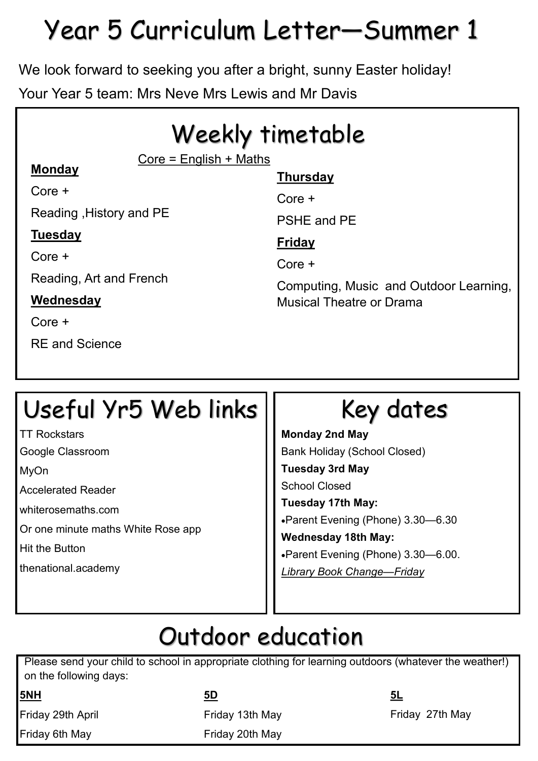# Year 5 Curriculum Letter—Summer 1

We look forward to seeking you after a bright, sunny Easter holiday!

Your Year 5 team: Mrs Neve Mrs Lewis and Mr Davis

# Weekly timetable

 $Core =$  English  $+$  Maths

## **Monday**

Core +

Reading ,History and PE

## **Tuesday**

 $C$ ore  $+$ 

Reading, Art and French

## **Wednesday**

Core +

RE and Science

## **Thursday**

Core +

PSHE and PE

## **Friday**

Core +

Computing, Music and Outdoor Learning, Musical Theatre or Drama

# Useful Yr5 Web links

TT Rockstars

Google Classroom

MyOn

Accelerated Reader

whiterosemaths.com

Or one minute maths White Rose app

Hit the Button

thenational.academy

# Key dates

**Monday 2nd May** Bank Holiday (School Closed) **Tuesday 3rd May** School Closed **Tuesday 17th May:**  Parent Evening (Phone) 3.30—6.30 **Wednesday 18th May:**  Parent Evening (Phone) 3.30—6.00. *Library Book Change—Friday*

# Outdoor education

Please send your child to school in appropriate clothing for learning outdoors (whatever the weather!) on the following days:

**5NH**

Friday 29th April

Friday 6th May

### **5D**

Friday 13th May

Friday 20th May

**5L**

Friday 27th May